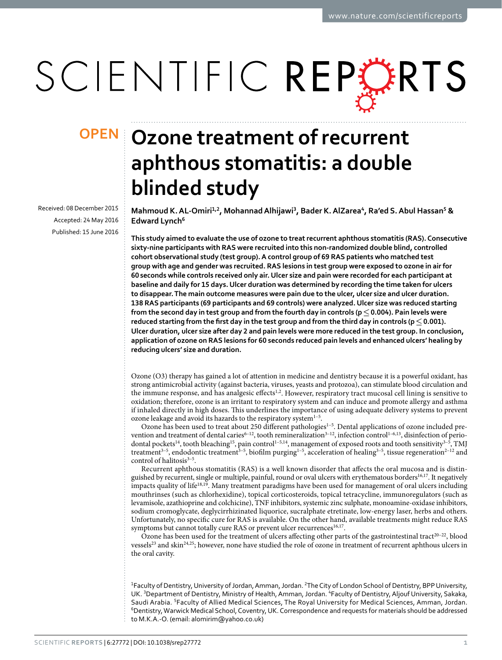# SCIENTIFIC REPORTS

Received: 08 December 2015 accepted: 24 May 2016 Published: 15 June 2016

## **OPEN** Ozone treatment of recurrent **aphthous stomatitis: a double blinded study**

**Mahmoud K.AL-Omiri<sup>1</sup>,<sup>2</sup>, MohannadAlhijawi<sup>3</sup>, Bader K.AlZarea<sup>4</sup>, Ra'ed S.Abul Hassan<sup>5</sup> & Edward Lynch<sup>6</sup>**

**This study aimed to evaluate the use of ozone to treat recurrent aphthous stomatitis (RAS). Consecutive sixty-nine participants with RAS were recruited into this non-randomized double blind, controlled cohort observational study (test group). A control group of 69 RAS patients who matched test group with age and gender was recruited. RAS lesions in test group were exposed to ozone in air for 60seconds while controls received only air. Ulcer size and pain were recorded for each participant at baseline and daily for 15 days. Ulcer duration was determined by recording the time taken for ulcers to disappear. The main outcome measures were pain due to the ulcer, ulcer size and ulcer duration. 138 RAS participants (69 participants and 69 controls) were analyzed. Ulcer size was reduced starting from the second day in test group and from the fourth day in controls (p≤0.004). Pain levels were reduced starting from the first day in the test group and from the third day in controls (p≤0.001). Ulcer duration, ulcer size after day 2 and pain levels were more reduced in the test group. In conclusion, application of ozone on RAS lesions for 60 seconds reduced pain levels and enhanced ulcers' healing by reducing ulcers' size and duration.**

Ozone (O3) therapy has gained a lot of attention in medicine and dentistry because it is a powerful oxidant, has strong antimicrobial activity (against bacteria, viruses, yeasts and protozoa), can stimulate blood circulation and the immune response, and has analgesic effects<sup>[1](#page-5-0),2</sup>. However, respiratory tract mucosal cell lining is sensitive to oxidation; therefore, ozone is an irritant to respiratory system and can induce and promote allergy and asthma if inhaled directly in high doses. This underlines the importance of using adequate delivery systems to prevent ozone leakage and avoid its hazards to the respiratory system<sup>1-5</sup>.

Ozone has been used to treat about 250 different pathologies<sup>1-5</sup>. Dental applications of ozone included pre-vention and treatment of dental caries<sup>[6–12](#page-5-2)</sup>, tooth remineralization<sup>3–12</sup>, infection control<sup>1–6,13</sup>, disinfection of perio-dontal pockets<sup>[14](#page-5-5)</sup>, tooth bleaching<sup>[15](#page-5-6)</sup>, pain control<sup>1-5,14</sup>, management of exposed roots and tooth sensitivity<sup>3-5</sup>, TMJ treatment<sup>[3–5](#page-5-3)</sup>, endodontic treatment<sup>3–5</sup>, biofilm purging<sup>1–5</sup>, acceleration of healing<sup>3–5</sup>, tissue regeneration<sup>[2–12](#page-5-1)</sup> and control of halitosis<sup>3-5</sup>.

Recurrent aphthous stomatitis (RAS) is a well known disorder that affects the oral mucosa and is distinguished by recurrent, single or multiple, painful, round or oval ulcers with erythematous borders<sup>16,17</sup>. It negatively impacts quality of lif[e18,](#page-5-9)[19.](#page-5-10) Many treatment paradigms have been used for management of oral ulcers including mouthrinses (such as chlorhexidine), topical corticosteroids, topical tetracycline, immunoregulators (such as levamisole, azathioprine and colchicine), TNF inhibitors, systemic zinc sulphate, monoamine-oxidase inhibitors, sodium cromoglycate, deglycirrhizinated liquorice, sucralphate etretinate, low-energy laser, herbs and others. Unfortunately, no specific cure for RAS is available. On the other hand, available treatments might reduce RAS symptoms but cannot totally cure RAS or prevent ulcer recurrences<sup>16,17</sup>.

Ozone has been used for the treatment of ulcers affecting other parts of the gastrointestinal tract<sup>20-22</sup>, blood vessels<sup>[23](#page-6-0)</sup> and skin<sup>[24](#page-6-1),[25](#page-6-2)</sup>; however, none have studied the role of ozone in treatment of recurrent aphthous ulcers in the oral cavity.

<sup>1</sup>Faculty of Dentistry, University of Jordan, Amman, Jordan. <sup>2</sup>The City of London School of Dentistry, BPP University, UK. <sup>3</sup>Department of Dentistry, Ministry of Health, Amman, Jordan. <sup>4</sup>Faculty of Dentistry, Aljouf University, Sakaka, Saudi Arabia. 5Faculty of Allied Medical Sciences, The Royal University for Medical Sciences, Amman, Jordan. 6 Dentistry, Warwick Medical School, Coventry, UK. Correspondence and requests for materials should be addressed to M.K.A.-O. (email: [alomirim@yahoo.co.uk](mailto:alomirim@yahoo.co.uk))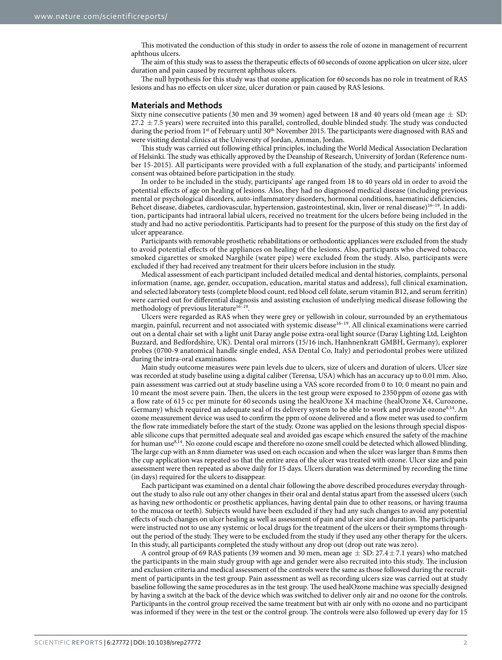This motivated the conduction of this study in order to assess the role of ozone in management of recurrent aphthous ulcers.

The aim of this study was to assess the therapeutic effects of 60seconds of ozone application on ulcer size, ulcer duration and pain caused by recurrent aphthous ulcers.

The null hypothesis for this study was that ozone application for 60 seconds has no role in treatment of RAS lesions and has no effects on ulcer size, ulcer duration or pain caused by RAS lesions.

#### **Materials and Methods**

Sixty nine consecutive patients (30 men and 39 women) aged between 18 and 40 years old (mean age  $\pm$  SD: 27.2  $\pm$  7.5 years) were recruited into this parallel, controlled, double blinded study. The study was conducted during the period from 1st of February until 30<sup>th</sup> November 2015. The participants were diagnosed with RAS and were visiting dental clinics at the University of Jordan, Amman, Jordan.

This study was carried out following ethical principles, including the World Medical Association Declaration of Helsinki. The study was ethically approved by the Deanship of Research, University of Jordan (Reference number 15-2015). All participants were provided with a full explanation of the study, and participants' informed consent was obtained before participation in the study.

In order to be included in the study, participants' age ranged from 18 to 40 years old in order to avoid the potential effects of age on healing of lesions. Also, they had no diagnosed medical disease (including previous mental or psychological disorders, auto-inflammatory disorders, hormonal conditions, haematinic deficiencies, Behcet disease, diabetes, cardiovascular, hypertension, gastrointestinal, skin, liver or renal disease[\)16–19.](#page-5-7) In addition, participants had intraoral labial ulcers, received no treatment for the ulcers before being included in the study and had no active periodontitis. Participants had to present for the purpose of this study on the first day of ulcer appearance.

Participants with removable prosthetic rehabilitations or orthodontic appliances were excluded from the study to avoid potential effects of the appliances on healing of the lesions. Also, participants who chewed tobacco, smoked cigarettes or smoked Narghile (water pipe) were excluded from the study. Also, participants were excluded if they had received any treatment for their ulcers before inclusion in the study.

Medical assessment of each participant included detailed medical and dental histories, complaints, personal information (name, age, gender, occupation, education, marital status and address), full clinical examination, and selected laboratory tests (complete blood count, red blood cell folate, serum vitamin B12, and serum ferritin) were carried out for differential diagnosis and assisting exclusion of underlying medical disease following the methodology of previous literature $16-19$ .

Ulcers were regarded as RAS when they were grey or yellowish in colour, surrounded by an erythematous margin, painful, recurrent and not associated with systemic disease<sup>16-19</sup>. All clinical examinations were carried out on a dental chair set with a light unit Daray angle poise extra-oral light source (Daray Lighting Ltd, Leighton Buzzard, and Bedfordshire, UK). Dental oral mirrors (15/16 inch, Hanhnenkratt GMBH, Germany), explorer probes (0700-9 anatomical handle single ended, ASA Dental Co, Italy) and periodontal probes were utilized during the intra-oral examinations.

Main study outcome measures were pain levels due to ulcers, size of ulcers and duration of ulcers. Ulcer size was recorded at study baseline using a digital caliber (Terensa, USA) which has an accuracy up to 0.01mm. Also, pain assessment was carried out at study baseline using a VAS score recorded from 0 to 10; 0 meant no pain and 10 meant the most severe pain. Then, the ulcers in the test group were exposed to 2350 ppm of ozone gas with a flow rate of 615 cc per minute for 60 seconds using the healOzone X4 machine (healOzone X4, Curozone, Germany) which required an adequate seal of its delivery system to be able to work and provide ozon[e8](#page-5-12)[,14](#page-5-5). An ozone measurement device was used to confirm the ppm of ozone delivered and a flow meter was used to confirm the flow rate immediately before the start of the study. Ozone was applied on the lesions through special disposable silicone cups that permitted adequate seal and avoided gas escape which ensured the safety of the machine for human use<sup>[8](#page-5-12),[14](#page-5-5)</sup>. No ozone could escape and therefore no ozone smell could be detected which allowed blinding. The large cup with an 8mm diameter was used on each occasion and when the ulcer was larger than 8mms then the cup application was repeated so that the entire area of the ulcer was treated with ozone. Ulcer size and pain assessment were then repeated as above daily for 15 days. Ulcers duration was determined by recording the time (in days) required for the ulcers to disappear.

Each participant was examined on a dental chair following the above described procedures everyday throughout the study to also rule out any other changes in their oral and dental status apart from the assessed ulcers (such as having new orthodontic or prosthetic appliances, having dental pain due to other reasons, or having trauma to the mucosa or teeth). Subjects would have been excluded if they had any such changes to avoid any potential effects of such changes on ulcer healing as well as assessment of pain and ulcer size and duration. The participants were instructed not to use any systemic or local drugs for the treatment of the ulcers or their symptoms throughout the period of the study. They were to be excluded from the study if they used any other therapy for the ulcers. In this study, all participants completed the study without any drop out (drop out rate was zero).

A control group of 69 RAS patients (39 women and 30 men, mean age  $\pm$  SD: 27.4 $\pm$ 7.1 years) who matched the participants in the main study group with age and gender were also recruited into this study. The inclusion and exclusion criteria and medical assessment of the controls were the same as those followed during the recruitment of participants in the test group. Pain assessment as well as recording ulcers size was carried out at study baseline following the same procedures as in the test group. The used healOzone machine was specially designed by having a switch at the back of the device which was switched to deliver only air and no ozone for the controls. Participants in the control group received the same treatment but with air only with no ozone and no participant was informed if they were in the test or the control group. The controls were also followed up every day for 15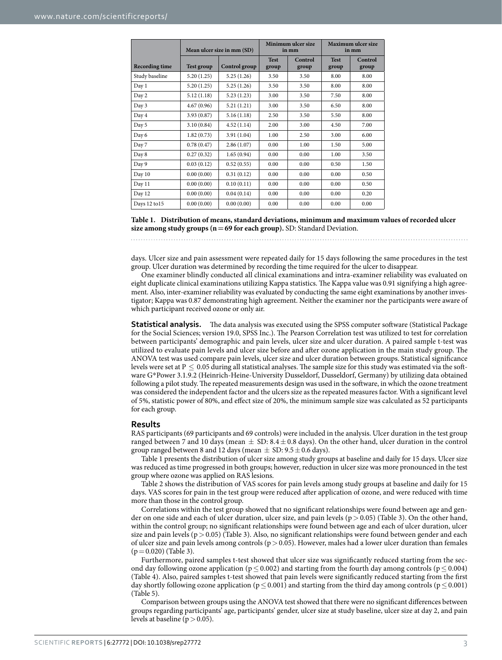<span id="page-2-0"></span>

|                       |            | Mean ulcer size in mm (SD) | Minimum ulcer size<br>in mm |                  | <b>Maximum ulcer size</b><br>in mm |                  |
|-----------------------|------------|----------------------------|-----------------------------|------------------|------------------------------------|------------------|
| <b>Recording time</b> | Test group | Control group              | <b>Test</b><br>group        | Control<br>group | <b>Test</b><br>group               | Control<br>group |
| Study baseline        | 5.20(1.25) | 5.25(1.26)                 | 3.50                        | 3.50             | 8.00                               | 8.00             |
| Day 1                 | 5.20(1.25) | 5.25(1.26)                 | 3.50                        | 3.50             | 8.00                               | 8.00             |
| Day 2                 | 5.12(1.18) | 5.23(1.23)                 | 3.00                        | 3.50             | 7.50                               | 8.00             |
| Day 3                 | 4.67(0.96) | 5.21(1.21)                 | 3.00                        | 3.50             | 6.50                               | 8.00             |
| Day 4                 | 3.93(0.87) | 5.16(1.18)                 | 2.50                        | 3.50             | 5.50                               | 8.00             |
| Day 5                 | 3.10(0.84) | 4.52(1.14)                 | 2.00                        | 3.00             | 4.50                               | 7.00             |
| Day 6                 | 1.82(0.73) | 3.91(1.04)                 | 1.00                        | 2.50             | 3.00                               | 6.00             |
| Day 7                 | 0.78(0.47) | 2.86(1.07)                 | 0.00                        | 1.00             | 1.50                               | 5.00             |
| Day 8                 | 0.27(0.32) | 1.65(0.94)                 | 0.00                        | 0.00             | 1.00                               | 3.50             |
| Day 9                 | 0.03(0.12) | 0.52(0.55)                 | 0.00                        | 0.00             | 0.50                               | 1.50             |
| Day 10                | 0.00(0.00) | 0.31(0.12)                 | 0.00                        | 0.00             | 0.00                               | 0.50             |
| Day 11                | 0.00(0.00) | 0.10(0.11)                 | 0.00                        | 0.00             | 0.00                               | 0.50             |
| Day 12                | 0.00(0.00) | 0.04(0.14)                 | 0.00                        | 0.00             | 0.00                               | 0.20             |
| Days 12 to 15         | 0.00(0.00) | 0.00(0.00)                 | 0.00                        | 0.00             | 0.00                               | 0.00             |

**Table 1. Distribution of means, standard deviations, minimum and maximum values of recorded ulcer size among study groups (n=69 for each group).** SD: Standard Deviation.

days. Ulcer size and pain assessment were repeated daily for 15 days following the same procedures in the test group. Ulcer duration was determined by recording the time required for the ulcer to disappear.

One examiner blindly conducted all clinical examinations and intra-examiner reliability was evaluated on eight duplicate clinical examinations utilizing Kappa statistics. The Kappa value was 0.91 signifying a high agreement. Also, inter-examiner reliability was evaluated by conducting the same eight examinations by another investigator; Kappa was 0.87 demonstrating high agreement. Neither the examiner nor the participants were aware of which participant received ozone or only air.

**Statistical analysis.** The data analysis was executed using the SPSS computer software (Statistical Package for the Social Sciences; version 19.0, SPSS Inc.). The Pearson Correlation test was utilized to test for correlation between participants' demographic and pain levels, ulcer size and ulcer duration. A paired sample t-test was utilized to evaluate pain levels and ulcer size before and after ozone application in the main study group. The ANOVA test was used compare pain levels, ulcer size and ulcer duration between groups. Statistical significance levels were set at  $P \leq 0.05$  during all statistical analyses. The sample size for this study was estimated via the software G\*Power 3.1.9.2 (Heinrich-Heine-University Dusseldorf, Dusseldorf, Germany) by utilizing data obtained following a pilot study. The repeated measurements design was used in the software, in which the ozone treatment was considered the independent factor and the ulcers size as the repeated measures factor. With a significant level of 5%, statistic power of 80%, and effect size of 20%, the minimum sample size was calculated as 52 participants for each group.

#### **Results**

RAS participants (69 participants and 69 controls) were included in the analysis. Ulcer duration in the test group ranged between 7 and 10 days (mean  $\pm$  SD: 8.4 $\pm$  0.8 days). On the other hand, ulcer duration in the control group ranged between 8 and 12 days (mean  $\pm$  SD: 9.5  $\pm$  0.6 days).

[Table 1](#page-2-0) presents the distribution of ulcer size among study groups at baseline and daily for 15 days. Ulcer size was reduced as time progressed in both groups; however, reduction in ulcer size was more pronounced in the test group where ozone was applied on RAS lesions.

[Table 2](#page-3-0) shows the distribution of VAS scores for pain levels among study groups at baseline and daily for 15 days. VAS scores for pain in the test group were reduced after application of ozone, and were reduced with time more than those in the control group.

Correlations within the test group showed that no significant relationships were found between age and gender on one side and each of ulcer duration, ulcer size, and pain levels ( $p > 0.05$ ) ([Table 3](#page-3-1)). On the other hand, within the control group; no significant relationships were found between age and each of ulcer duration, ulcer size and pain levels ( $p > 0.05$ ) [\(Table 3](#page-3-1)). Also, no significant relationships were found between gender and each of ulcer size and pain levels among controls ( $p > 0.05$ ). However, males had a lower ulcer duration than females  $(p=0.020)$  [\(Table 3](#page-3-1)).

Furthermore, paired samples t-test showed that ulcer size was significantly reduced starting from the second day following ozone application ( $p \le 0.002$ ) and starting from the fourth day among controls ( $p \le 0.004$ ) ([Table 4\)](#page-4-0). Also, paired samples t-test showed that pain levels were significantly reduced starting from the first day shortly following ozone application ( $p \le 0.001$ ) and starting from the third day among controls ( $p \le 0.001$ ) ([Table 5](#page-4-1)).

Comparison between groups using the ANOVA test showed that there were no significant differences between groups regarding participants' age, participants' gender, ulcer size at study baseline, ulcer size at day 2, and pain levels at baseline ( $p > 0.05$ ).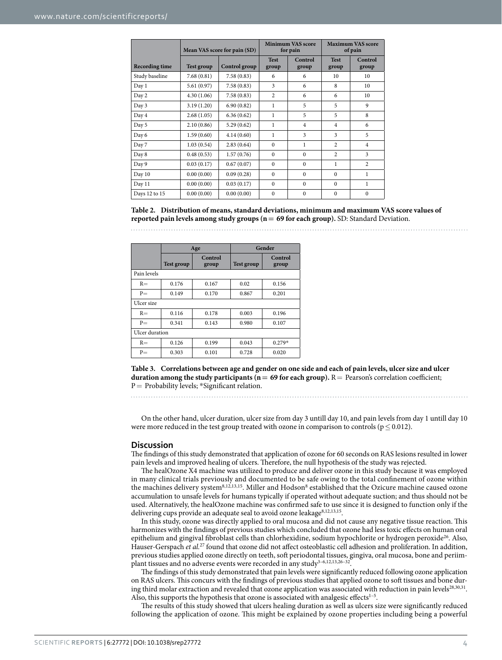<span id="page-3-0"></span>

|                       | Mean VAS score for pain (SD) |               |                      | <b>Minimum VAS score</b><br>for pain | <b>Maximum VAS score</b><br>of pain |                  |  |
|-----------------------|------------------------------|---------------|----------------------|--------------------------------------|-------------------------------------|------------------|--|
| <b>Recording time</b> | Test group                   | Control group | <b>Test</b><br>group | Control<br>group                     | <b>Test</b><br>group                | Control<br>group |  |
| Study baseline        | 7.68(0.81)                   | 7.58(0.83)    | 6                    | 6                                    | 10                                  | 10               |  |
| Day 1                 | 5.61(0.97)                   | 7.58(0.83)    | 3                    | 6                                    | 8                                   | 10               |  |
| Day 2                 | 4.30(1.06)                   | 7.58(0.83)    | $\overline{c}$       | 6                                    | 6                                   | 10               |  |
| Day 3                 | 3.19(1.20)                   | 6.90(0.82)    | 1                    | 5                                    | 5                                   | 9                |  |
| Day 4                 | 2.68(1.05)                   | 6.36(0.62)    | $\mathbf{1}$         | 5                                    | 5                                   | 8                |  |
| Day 5                 | 2.10(0.86)                   | 5.29(0.62)    | $\mathbf{1}$         | $\overline{4}$                       | $\overline{4}$                      | 6                |  |
| Day 6                 | 1.59(0.60)                   | 4.14(0.60)    | 1                    | 3                                    | 3                                   | 5                |  |
| Day 7                 | 1.03(0.54)                   | 2.83(0.64)    | $\Omega$             | $\mathbf{1}$                         | $\overline{c}$                      | $\overline{4}$   |  |
| Day 8                 | 0.48(0.53)                   | 1.57(0.76)    | $\Omega$             | $\Omega$                             | $\overline{c}$                      | 3                |  |
| Day 9                 | 0.03(0.17)                   | 0.67(0.07)    | $\Omega$             | $\Omega$                             | 1                                   | $\overline{c}$   |  |
| Day 10                | 0.00(0.00)                   | 0.09(0.28)    | $\Omega$             | $\mathbf{0}$                         | $\mathbf{0}$                        | 1                |  |
| Day 11                | 0.00(0.00)                   | 0.03(0.17)    | $\Omega$             | $\Omega$                             | $\Omega$                            | 1                |  |
| Days 12 to 15         | 0.00(0.00)                   | 0.00(0.00)    | $\mathbf{0}$         | $\mathbf{0}$                         | $\mathbf{0}$                        | $\mathbf{0}$     |  |

#### **Table 2. Distribution of means, standard deviations, minimum and maximum VAS score values of reported pain levels among study groups (n= 69 for each group).** SD: Standard Deviation.

<span id="page-3-1"></span>

|                | Age               |                  | Gender            |                  |  |  |
|----------------|-------------------|------------------|-------------------|------------------|--|--|
|                | <b>Test group</b> | Control<br>group | <b>Test group</b> | Control<br>group |  |  |
| Pain levels    |                   |                  |                   |                  |  |  |
| $R =$          | 0.176             | 0.167            | 0.02              | 0.156            |  |  |
| $P =$          | 0.149             | 0.170            | 0.867             | 0.201            |  |  |
| Ulcer size     |                   |                  |                   |                  |  |  |
| $R =$          | 0.116             | 0.178            | 0.003             | 0.196            |  |  |
| $P =$          | 0.341             | 0.143            | 0.980             | 0.107            |  |  |
| Ulcer duration |                   |                  |                   |                  |  |  |
| $R =$          | 0.126             | 0.199            | 0.043             | $0.279*$         |  |  |
| $P =$          | 0.303             | 0.101            | 0.728             | 0.020            |  |  |

**Table 3. Correlations between age and gender on one side and each of pain levels, ulcer size and ulcer duration among the study participants (n= 69 for each group).** R= Pearson's correlation coefficient; P = Probability levels; \*Significant relation.

On the other hand, ulcer duration, ulcer size from day 3 untill day 10, and pain levels from day 1 untill day 10 were more reduced in the test group treated with ozone in comparison to controls ( $p \le 0.012$ ).

#### **Discussion**

The findings of this study demonstrated that application of ozone for 60 seconds on RAS lesions resulted in lower pain levels and improved healing of ulcers. Therefore, the null hypothesis of the study was rejected.

The healOzone X4 machine was utilized to produce and deliver ozone in this study because it was employed in many clinical trials previously and documented to be safe owing to the total confinement of ozone within the machines delivery system<sup>8,[12](#page-5-13),[13,](#page-5-4)15</sup>. Miller and Hodson<sup>8</sup> established that the Ozicure machine caused ozone accumulation to unsafe levels for humans typically if operated without adequate suction; and thus should not be used. Alternatively, the healOzone machine was confirmed safe to use since it is designed to function only if the delivering cups provide an adequate seal to avoid ozone leakage<sup>8,[12](#page-5-13),[13](#page-5-4),[15](#page-5-6)</sup>.

In this study, ozone was directly applied to oral mucosa and did not cause any negative tissue reaction. This harmonizes with the findings of previous studies which concluded that ozone had less toxic effects on human oral epithelium and gingival fibroblast cells than chlorhexidine, sodium hypochlorite or hydrogen peroxid[e26](#page-6-3). Also, Hauser-Gerspach *et al.*[27](#page-6-4) found that ozone did not affect osteoblastic cell adhesion and proliferation. In addition, previous studies applied ozone directly on teeth, soft periodontal tissues, gingiva, oral mucosa, bone and periim-plant tissues and no adverse events were recorded in any study<sup>3-6,[12,](#page-5-13)[13,](#page-5-4)26-3</sup>

The findings of this study demonstrated that pain levels were significantly reduced following ozone application on RAS ulcers. This concurs with the findings of previous studies that applied ozone to soft tissues and bone dur-ing third molar extraction and revealed that ozone application was associated with reduction in pain levels<sup>28,[30,](#page-6-6)31</sup>. Also, this supports the hypothesis that ozone is associated with analgesic effects<sup>1-5</sup>.

The results of this study showed that ulcers healing duration as well as ulcers size were significantly reduced following the application of ozone. This might be explained by ozone properties including being a powerful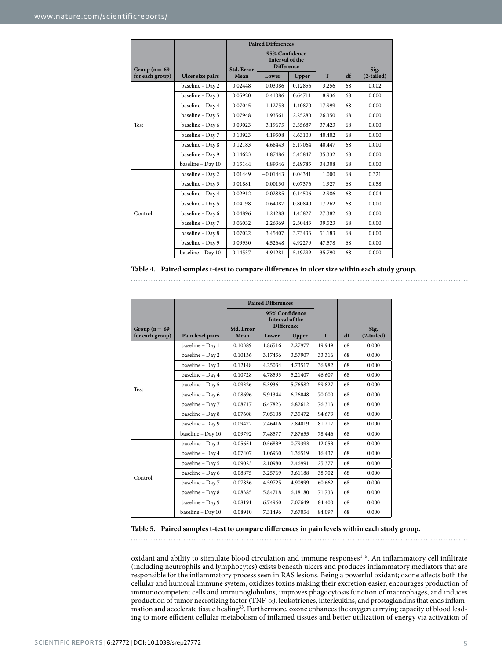<span id="page-4-0"></span>

|                    |                   | <b>Paired Differences</b> |                                                        |         |        |    |              |
|--------------------|-------------------|---------------------------|--------------------------------------------------------|---------|--------|----|--------------|
| Group ( $n = 69$ ) |                   | Std. Error                | 95% Confidence<br>Interval of the<br><b>Difference</b> |         |        |    | Sig.         |
| for each group)    | Ulcer size pairs  | Mean                      | Lower                                                  | Upper   | T      | df | $(2-tailed)$ |
|                    | baseline - Day 2  | 0.02448                   | 0.03086                                                | 0.12856 | 3.256  | 68 | 0.002        |
|                    | baseline - Day 3  | 0.05920                   | 0.41086                                                | 0.64711 | 8.936  | 68 | 0.000        |
|                    | baseline - Day 4  | 0.07045                   | 1.12753                                                | 1.40870 | 17.999 | 68 | 0.000        |
|                    | baseline - Day 5  | 0.07948                   | 1.93561                                                | 2.25280 | 26.350 | 68 | 0.000        |
| Test               | baseline - Day 6  | 0.09023                   | 3.19675                                                | 3.55687 | 37.423 | 68 | 0.000        |
|                    | baseline - Day 7  | 0.10923                   | 4.19508                                                | 4.63100 | 40.402 | 68 | 0.000        |
|                    | baseline - Day 8  | 0.12183                   | 4.68443                                                | 5.17064 | 40.447 | 68 | 0.000        |
|                    | baseline - Day 9  | 0.14623                   | 4.87486                                                | 5.45847 | 35.332 | 68 | 0.000        |
|                    | baseline - Day 10 | 0.15144                   | 4.89346                                                | 5.49785 | 34.308 | 68 | 0.000        |
|                    | baseline - Day 2  | 0.01449                   | $-0.01443$                                             | 0.04341 | 1.000  | 68 | 0.321        |
|                    | baseline - Day 3  | 0.01881                   | $-0.00130$                                             | 0.07376 | 1.927  | 68 | 0.058        |
|                    | baseline - Day 4  | 0.02912                   | 0.02885                                                | 0.14506 | 2.986  | 68 | 0.004        |
| Control            | baseline - Day 5  | 0.04198                   | 0.64087                                                | 0.80840 | 17.262 | 68 | 0.000        |
|                    | baseline - Day 6  | 0.04896                   | 1.24288                                                | 1.43827 | 27.382 | 68 | 0.000        |
|                    | baseline - Day 7  | 0.06032                   | 2.26369                                                | 2.50443 | 39.523 | 68 | 0.000        |
|                    | baseline - Day 8  | 0.07022                   | 3.45407                                                | 3.73433 | 51.183 | 68 | 0.000        |
|                    | baseline - Day 9  | 0.09930                   | 4.52648                                                | 4.92279 | 47.578 | 68 | 0.000        |
|                    | baseline - Day 10 | 0.14537                   | 4.91281                                                | 5.49299 | 35.790 | 68 | 0.000        |

|  | Table 4. Paired samples t-test to compare differences in ulcer size within each study group. |  |
|--|----------------------------------------------------------------------------------------------|--|
|  |                                                                                              |  |

<span id="page-4-1"></span>

|                  |                   |            | <b>Paired Differences</b>                              |         |        |    |              |
|------------------|-------------------|------------|--------------------------------------------------------|---------|--------|----|--------------|
| Group ( $n = 69$ |                   | Std. Error | 95% Confidence<br>Interval of the<br><b>Difference</b> |         |        |    | Sig.         |
| for each group)  | Pain level pairs  | Mean       | Lower                                                  | Upper   | T      | df | $(2-tailed)$ |
|                  | baseline - Day 1  | 0.10389    | 1.86516                                                | 2.27977 | 19.949 | 68 | 0.000        |
|                  | baseline - Day 2  | 0.10136    | 3.17456                                                | 3.57907 | 33.316 | 68 | 0.000        |
|                  | baseline - Day 3  | 0.12148    | 4.25034                                                | 4.73517 | 36.982 | 68 | 0.000        |
|                  | baseline - Day 4  | 0.10728    | 4.78593                                                | 5.21407 | 46.607 | 68 | 0.000        |
| Test             | baseline - Day 5  | 0.09326    | 5.39361                                                | 5.76582 | 59.827 | 68 | 0.000        |
|                  | baseline - Day 6  | 0.08696    | 5.91344                                                | 6.26048 | 70.000 | 68 | 0.000        |
|                  | baseline - Day 7  | 0.08717    | 6.47823                                                | 6.82612 | 76.313 | 68 | 0.000        |
|                  | baseline - Day 8  | 0.07608    | 7.05108                                                | 7.35472 | 94.673 | 68 | 0.000        |
|                  | baseline - Day 9  | 0.09422    | 7.46416                                                | 7.84019 | 81.217 | 68 | 0.000        |
|                  | baseline - Day 10 | 0.09792    | 7.48577                                                | 7.87655 | 78.446 | 68 | 0.000        |
|                  | baseline - Day 3  | 0.05651    | 0.56839                                                | 0.79393 | 12.053 | 68 | 0.000        |
| Control          | baseline - Day 4  | 0.07407    | 1.06960                                                | 1.36519 | 16.437 | 68 | 0.000        |
|                  | baseline - Day 5  | 0.09023    | 2.10980                                                | 2.46991 | 25.377 | 68 | 0.000        |
|                  | baseline - Day 6  | 0.08875    | 3.25769                                                | 3.61188 | 38.702 | 68 | 0.000        |
|                  | baseline - Day 7  | 0.07836    | 4.59725                                                | 4.90999 | 60.662 | 68 | 0.000        |
|                  | baseline - Day 8  | 0.08385    | 5.84718                                                | 6.18180 | 71.733 | 68 | 0.000        |
|                  | baseline - Day 9  | 0.08191    | 6.74960                                                | 7.07649 | 84.400 | 68 | 0.000        |
|                  | baseline - Day 10 | 0.08910    | 7.31496                                                | 7.67054 | 84.097 | 68 | 0.000        |

**Table 5. Paired samples t-test to compare differences in pain levels within each study group.**

oxidant and ability to stimulate blood circulation and immune responses<sup>1-5</sup>. An inflammatory cell infiltrate (including neutrophils and lymphocytes) exists beneath ulcers and produces inflammatory mediators that are responsible for the inflammatory process seen in RAS lesions. Being a powerful oxidant; ozone affects both the cellular and humoral immune system, oxidizes toxins making their excretion easier, encourages production of immunocompetent cells and immunoglobulins, improves phagocytosis function of macrophages, and induces production of tumor necrotizing factor (TNF- $\alpha$ ), leukotrienes, interleukins, and prostaglandins that ends inflammation and accelerate tissue healing[33](#page-6-8). Furthermore, ozone enhances the oxygen carrying capacity of blood leading to more efficient cellular metabolism of inflamed tissues and better utilization of energy via activation of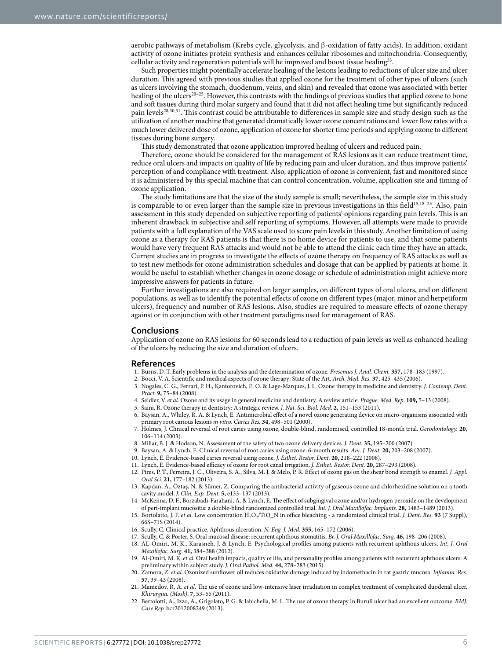aerobic pathways of metabolism (Krebs cycle, glycolysis, and β-oxidation of fatty acids). In addition, oxidant activity of ozone initiates protein synthesis and enhances cellular ribosomes and mitochondria. Consequently, cellular activity and regeneration potentials will be improved and boost tissue healing<sup>33</sup>.

Such properties might potentially accelerate healing of the lesions leading to reductions of ulcer size and ulcer duration. This agreed with previous studies that applied ozone for the treatment of other types of ulcers (such as ulcers involving the stomach, duodenum, veins, and skin) and revealed that ozone was associated with better healing of the ulcers<sup>20-25</sup>. However, this contrasts with the findings of previous studies that applied ozone to bone and soft tissues during third molar surgery and found that it did not affect healing time but significantly reduced pain level[s28](#page-6-5)[,30](#page-6-6)[,31](#page-6-7). This contrast could be attributable to differences in sample size and study design such as the utilization of another machine that generated dramatically lower ozone concentrations and lower flow rates with a much lower delivered dose of ozone, application of ozone for shorter time periods and applying ozone to different tissues during bone surgery.

This study demonstrated that ozone application improved healing of ulcers and reduced pain.

Therefore, ozone should be considered for the management of RAS lesions as it can reduce treatment time, reduce oral ulcers and impacts on quality of life by reducing pain and ulcer duration, and thus improve patients' perception of and compliance with treatment. Also, application of ozone is convenient, fast and monitored since it is administered by this special machine that can control concentration, volume, application site and timing of ozone application.

The study limitations are that the size of the study sample is small; nevertheless, the sample size in this study is comparable to or even larger than the sample size in previous investigations in this field<sup>[15](#page-5-6),18-25</sup>. Also, pain assessment in this study depended on subjective reporting of patients' opinions regarding pain levels. This is an inherent drawback in subjective and self reporting of symptoms. However, all attempts were made to provide patients with a full explanation of the VAS scale used to score pain levels in this study. Another limitation of using ozone as a therapy for RAS patients is that there is no home device for patients to use, and that some patients would have very frequent RAS attacks and would not be able to attend the clinic each time they have an attack. Current studies are in progress to investigate the effects of [ozone therapy](https://www.austinozone.com) on frequency of RAS attacks as well as to test new methods for ozone administration schedules and dosage that can be applied by patients at home. It would be useful to establish whether changes in ozone dosage or schedule of administration might achieve more impressive answers for patients in future.

Further investigations are also required on larger samples, on different types of oral ulcers, and on different populations, as well as to identify the potential effects of ozone on different types (major, minor and herpetiform ulcers), frequency and number of RAS lesions. Also, studies are required to measure effects of ozone therapy against or in conjunction with other treatment paradigms used for management of RAS.

#### **Conclusions**

Application of ozone on RAS lesions for 60 seconds lead to a reduction of pain levels as well as enhanced healing of the ulcers by reducing the size and duration of ulcers.

#### **References**

- <span id="page-5-0"></span>1. Burns, D. T. Early problems in the analysis and the determination of ozone. *Fresenius J. Anal. Chem.* **357,** 178–183 (1997).
- <span id="page-5-1"></span>2. Bocci, V. A. Scientific and medical aspects of ozone therapy: State of the Art. *Arch. Med. Res.* **37,** 425–435 (2006).
- <span id="page-5-3"></span>3. Nogales, C. G., Ferrari, P. H., Kantorovich, E. O. & Lage-Marques, J. L. Ozone therapy in medicine and dentistry. *J. Contemp. Dent. Pract*. **9,** 75–84 (2008).
- 4. Seidler, V. *et al.* Ozone and its usage in general medicine and dentistry. A review article. *Prague. Med. Rep*. **109,** 5–13 (2008).
- 5. Saini, R. Ozone therapy in dentistry: A strategic review. *J. Nat. Sci. Biol. Med*. **2,** 151–153 (2011).
- <span id="page-5-2"></span>6. Baysan, A., Whiley, R. A. & Lynch, E. Antimicrobial effect of a novel ozone generating device on micro-organisms associated with primary root carious lesions *in vitro*. *Caries Res.* **34,** 498–501 (2000).
- 7. Holmes, J. Clinical reversal of root caries using ozone, double-blind, randomised, controlled 18-month trial. *Gerodontology.* **20,** 106–114 (2003).
- <span id="page-5-12"></span>8. Millar, B. J. & Hodson, N. Assessment of the safety of two ozone delivery devices. *J. Dent.* **35,** 195–200 (2007).
- 9. Baysan, A. & Lynch, E. Clinical reversal of root caries using ozone: 6-month results. *Am. J. Dent.* **20,** 203–208 (2007).
- 10. Lynch, E. Evidence-based caries reversal using ozone. *J. Esthet. Restor. Dent.* **20,** 218–222 (2008).
- <span id="page-5-13"></span>11. Lynch, E. Evidence-based efficacy of ozone for root canal irrigation. *J. Esthet. Restor. Dent.* **20,** 287–293 (2008).
- 12. Pires, P. T., Ferreira, J. C., Oliveira, S. A., Silva, M. J. & Melo, P. R. Effect of ozone gas on the shear bond strength to enamel. *J. Appl. Oral Sci*. **21,** 177–182 (2013).
- <span id="page-5-4"></span>13. Kapdan, A., Öztaş, N. & Sümer, Z. Comparing the antibacterial activity of gaseous ozone and chlorhexidine solution on a tooth cavity model. *J. Clin. Exp. Dent*. **5,** e133–137 (2013).
- <span id="page-5-5"></span>14. McKenna, D. F., Borzabadi-Farahani, A. & Lynch, E. The effect of subgingival ozone and/or hydrogen peroxide on the development of peri-implant mucositis: a double-blind randomized controlled trial. *Int. J. Oral Maxillofac. Implants*. **28,** 1483–1489 (2013).
- <span id="page-5-6"></span>15. Bortolatto, J. F. *et al.* Low concentration H2O2/TiO\_N in office bleaching - a randomized clinical trial. *J. Dent. Res.* **93** (7 Suppl), 66S–71S (2014).
- <span id="page-5-8"></span><span id="page-5-7"></span>16. Scully, C. Clinical practice. Aphthous ulceration. *N. Eng. J. Med.* **355,** 165–172 (2006).
- 17. Scully, C. & Porter, S. Oral mucosal disease: recurrent aphthous stomatitis. *Br. J. Oral Maxillofac. Surg.* **46,** 198–206 (2008).
- <span id="page-5-9"></span>18. AL-Omiri, M. K., Karasneh, J. & Lynch, E. Psychological profiles among patients with recurrent aphthous ulcers. *Int. J. Oral Maxillofac. Surg.* **41,** 384–388 (2012).
- <span id="page-5-10"></span>19. Al-Omiri, M. K. *et al.* Oral health impacts, quality of life, and personality profiles among patients with recurrent aphthous ulcers: A preliminary within subject study. *J. Oral Pathol. Med.* **44,** 278–283 (2015).
- <span id="page-5-11"></span>20. Zamora, Z. *et al.* Ozonized sunflower oil reduces oxidative damage induced by indomethacin in rat gastric mucosa. *Inflamm. Res.* **57,** 39–43 (2008).
- 21. Mamedov, R. A. *et al.* The use of ozone and low-intensive laser irradiation in complex treatment of complicated duodenal ulcer. *Khirurgiia. (Mosk)*. **7,** 53–55 (2011).
- 22. Bertolotti, A., Izzo, A., Grigolato, P. G. & Iabichella, M. L. The use of ozone therapy in Buruli ulcer had an excellent outcome. *BMJ. Case Rep.* bcr2012008249 (2013).